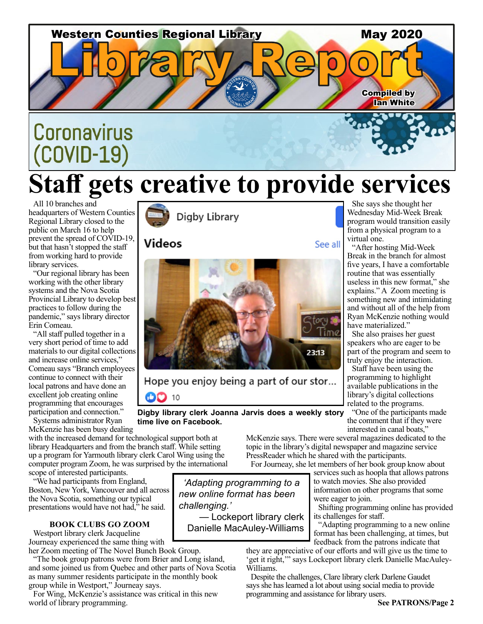

# **Staff gets creative to provide services**

All 10 branches and headquarters of Western Counties Regional Library closed to the public on March 16 to help prevent the spread of COVID-19, but that hasn't stopped the staff from working hard to provide library services.

"Our regional library has been working with the other library systems and the Nova Scotia Provincial Library to develop best practices to follow during the pandemic," says library director Erin Comeau.

"All staff pulled together in a very short period of time to add materials to our digital collections and increase online services," Comeau says "Branch employees continue to connect with their local patrons and have done an excellent job creating online programming that encourages participation and connection."

Systems administrator Ryan McKenzie has been busy dealing

with the increased demand for technological support both at library Headquarters and from the branch staff. While setting up a program for Yarmouth library clerk Carol Wing using the computer program Zoom, he was surprised by the international scope of interested participants.

"We had participants from England, Boston, New York, Vancouver and all across the Nova Scotia, something our typical presentations would have not had," he said.

### **BOOK CLUBS GO ZOOM**

Westport library clerk Jacqueline Journeay experienced the same thing with her Zoom meeting of The Novel Bunch Book Group.

"The book group patrons were from Brier and Long island, and some joined us from Quebec and other parts of Nova Scotia as many summer residents participate in the monthly book group while in Westport," Journeay says.

For Wing, McKenzie's assistance was critical in this new world of library programming.



### **Videos**



Hope you enjoy being a part of our stor...  $\bullet$  10

**Digby library clerk Joanna Jarvis does a weekly story time live on Facebook.**

> McKenzie says. There were several magazines dedicated to the topic in the library's digital newspaper and magazine service PressReader which he shared with the participants.

For Journeay, she let members of her book group know about services such as hoopla that allows patrons to watch movies. She also provided

information on other programs that some were eager to join.

Shifting programming online has provided its challenges for staff.

"Adapting programming to a new online format has been challenging, at times, but feedback from the patrons indicate that

they are appreciative of our efforts and will give us the time to 'get it right,'" says Lockeport library clerk Danielle MacAuley-Williams.

Despite the challenges, Clare library clerk Darlene Gaudet says she has learned a lot about using social media to provide programming and assistance for library users.

### See all

She says she thought her Wednesday Mid-Week Break program would transition easily from a physical program to a virtual one.

"After hosting Mid-Week Break in the branch for almost five years, I have a comfortable routine that was essentially useless in this new format," she explains." A Zoom meeting is something new and intimidating and without all of the help from Ryan McKenzie nothing would have materialized."

She also praises her guest speakers who are eager to be part of the program and seem to truly enjoy the interaction.

Staff have been using the programming to highlight available publications in the library's digital collections related to the programs.

"One of the participants made the comment that if they were interested in canal boats,"

**See PATRONS/Page 2**



Danielle MacAuley-Williams